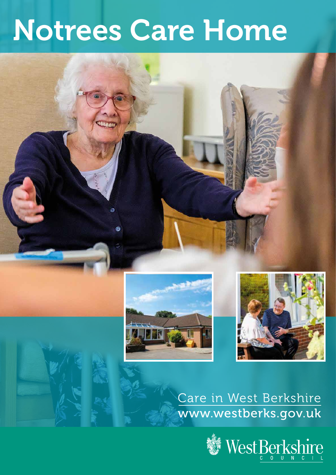# Notrees Care Home





## Care in West Berkshire www.westberks.gov.uk

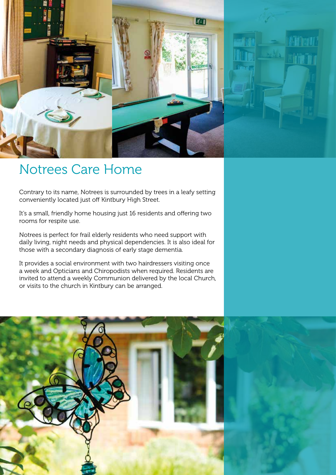

### Notrees Care Home

Contrary to its name, Notrees is surrounded by trees in a leafy setting conveniently located just off Kintbury High Street.

It's a small, friendly home housing just 16 residents and offering two rooms for respite use.

Notrees is perfect for frail elderly residents who need support with daily living, night needs and physical dependencies. It is also ideal for those with a secondary diagnosis of early stage dementia.

It provides a social environment with two hairdressers visiting once a week and Opticians and Chiropodists when required. Residents are invited to attend a weekly Communion delivered by the local Church, or visits to the church in Kintbury can be arranged.

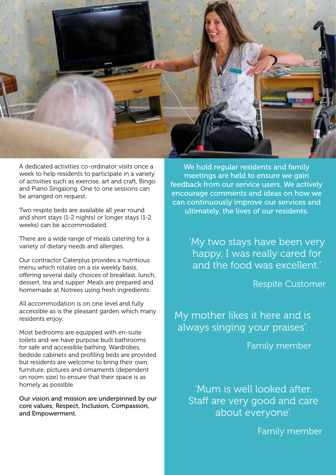

A dedicated activities co-ordinator visits once a week to help residents to participate in a variety of activities such as exercise, art and craft, Bingo and Piano Singalong. One to one sessions can be arranged on request.

Two respite beds are available all year round and short stays (1-2 nights) or longer stays (1-2 weeks) can be accommodated.

There are a wide range of meals catering for a variety of dietary needs and allergies.

Our contractor Caterplus provides a nutritious menu which rotates on a six weekly basis, offering several daily choices of breakfast, lunch, dessert, tea and supper. Meals are prepared and homemade at Notrees using fresh ingredients.

All accommodation is on one level and fully accessible as is the pleasant garden which many residents enjoy.

Most bedrooms are equipped with en-suite toilets and we have purpose built bathrooms for safe and accessible bathing. Wardrobes, bedside cabinets and profiling beds are provided but residents are welcome to bring their own furniture, pictures and ornaments (dependent on room size) to ensure that their space is as homely as possible.

Our vision and mission are underpinned by our core values; Respect, Inclusion, Compassion, and Empowerment.

We hold regular residents and family meetings are held to ensure we gain feedback from our service users. We actively encourage comments and ideas on how we can continuously improve our services and ultimately, the lives of our residents.

> 'My two stays have been very happy, I was really cared for and the food was excellent.'

> > Respite Customer

My mother likes it here and is always singing your praises'.

Family member

'Mum is well looked after. Staff are very good and care about everyone'.

Family member